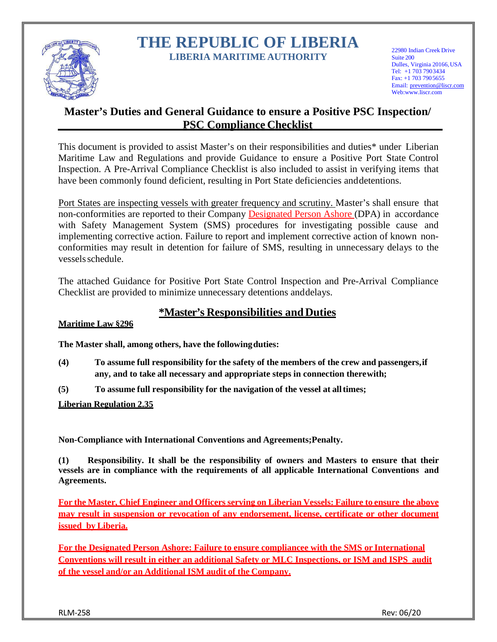

# **THE REPUBLIC OF LIBERIA LIBERIA MARITIME AUTHORITY**

22980 Indian Creek Drive Suite 200 Dulles, Virginia 20166,USA Tel: +1 703 7903434  $Fax: +17037905655$ Email: [prevention@liscr.com](mailto:safety@liscr.com) Web[:www.liscr.com](http://www.liscr.com/)

# **Master's Duties and General Guidance to ensure a Positive PSC Inspection/ PSC Compliance Checklist**

This document is provided to assist Master's on their responsibilities and duties\* under Liberian Maritime Law and Regulations and provide Guidance to ensure a Positive Port State Control Inspection. A Pre-Arrival Compliance Checklist is also included to assist in verifying items that have been commonly found deficient, resulting in Port State deficiencies and detentions.

Port States are inspecting vessels with greater frequency and scrutiny. Master's shall ensure that non-conformities are reported to their Company Designated Person Ashore (DPA) in accordance with Safety Management System (SMS) procedures for investigating possible cause and implementing corrective action. Failure to report and implement corrective action of known nonconformities may result in detention for failure of SMS, resulting in unnecessary delays to the vesselsschedule.

The attached Guidance for Positive Port State Control Inspection and Pre-Arrival Compliance Checklist are provided to minimize unnecessary detentions and delays.

## **\*Master's Responsibilities andDuties**

## **Maritime Law §296**

**The Master shall, among others, have the followingduties:**

- **(4) To assume full responsibility for the safety of the members of the crew and passengers,if any, and to take all necessary and appropriate steps in connection therewith;**
- **(5) To assume full responsibility for the navigation of the vessel at alltimes;**

## **Liberian Regulation 2.35**

**Non-Compliance with International Conventions and Agreements;Penalty.**

**(1) Responsibility. It shall be the responsibility of owners and Masters to ensure that their vessels are in compliance with the requirements of all applicable International Conventions and Agreements.**

**For the Master, Chief Engineer and Officers serving on Liberian Vessels: Failure to ensure the above may result in suspension or revocation of any endorsement, license, certificate or other document issued by Liberia.**

**For the Designated Person Ashore: Failure to ensure compliancee with the SMS or International Conventions will result in either an additional Safety or MLC Inspections, or ISM and ISPS audit of the vessel and/or an Additional ISM audit of the Company.**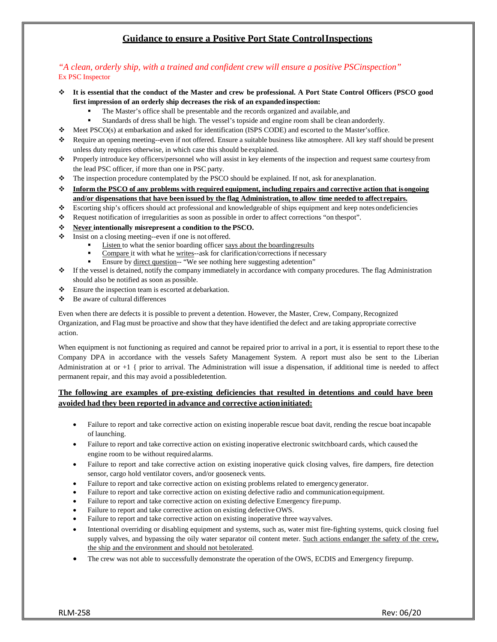## **Guidance to ensure a Positive Port State ControlInspections**

#### *"A clean, orderly ship, with a trained and confident crew will ensure a positive PSCinspection"* Ex PSC Inspector

- ↓ It is essential that the conduct of the Master and crew be professional. A Port State Control Officers (PSCO good **first impression of an orderly ship decreases the risk of an expandedinspection:**
	- The Master's office shall be presentable and the records organized and available, and
	- Standards of dress shall be high. The vessel's topside and engine room shall be clean andorderly.
- Meet PSCO(s) at embarkation and asked for identification (ISPS CODE) and escorted to the Master'soffice.
- Require an opening meeting--even if not offered. Ensure a suitable business like atmosphere. All key staff should be present unless duty requires otherwise, in which case this should be explained.
- Properly introduce key officers/personnel who will assist in key elements of the inspection and request same courtesy from the lead PSC officer, if more than one in PSC party.
- The inspection procedure contemplated by the PSCO should be explained. If not, ask for anexplanation.
- **Inform the PSCO of any problems with required equipment, including repairs and corrective action that isongoing and/or dispensations that have been issued by the flag Administration, to allow time needed to affect repairs.**
- Escorting ship's officers should act professional and knowledgeable of ships equipment and keep notes ondeficiencies
- Request notification of irregularities as soon as possible in order to affect corrections "on thespot".
- **Never intentionally misrepresent a condition to the PSCO.**
- $\triangleleft$  Insist on a closing meeting--even if one is not offered.
	- Listen to what the senior boarding officer says about the boarding results
	- Compare it with what he writes--ask for clarification/corrections if necessary
	- Ensure by direct question-- "We see nothing here suggesting adetention"
- $\bullet$  If the vessel is detained, notify the company immediately in accordance with company procedures. The flag Administration should also be notified as soon as possible.
- Ensure the inspection team is escorted at debarkation.
- Be aware of cultural differences

Even when there are defects it is possible to prevent a detention. However, the Master, Crew, Company,Recognized Organization, and Flag must be proactive and show that they have identified the defect and are taking appropriate corrective action.

When equipment is not functioning as required and cannot be repaired prior to arrival in a port, it is essential to report these to the Company DPA in accordance with the vessels Safety Management System. A report must also be sent to the Liberian Administration at or  $+1$  { prior to arrival. The Administration will issue a dispensation, if additional time is needed to affect permanent repair, and this may avoid a possibledetention.

#### **The following are examples of pre-existing deficiencies that resulted in detentions and could have been avoided had they been reported in advance and corrective actioninitiated:**

- Failure to report and take corrective action on existing inoperable rescue boat davit, rending the rescue boat incapable of launching.
- Failure to report and take corrective action on existing inoperative electronic switchboard cards, which caused the engine room to be without required alarms.
- Failure to report and take corrective action on existing inoperative quick closing valves, fire dampers, fire detection sensor, cargo hold ventilator covers, and/or gooseneck vents.
- Failure to report and take corrective action on existing problems related to emergencygenerator.
- Failure to report and take corrective action on existing defective radio and communicationequipment.
- Failure to report and take corrective action on existing defective Emergency firepump.
- Failure to report and take corrective action on existing defective OWS.
- Failure to report and take corrective action on existing inoperative three wayvalves.
- Intentional overriding or disabling equipment and systems, such as, water mist fire-fighting systems, quick closing fuel supply valves, and bypassing the oily water separator oil content meter. Such actions endanger the safety of the crew, the ship and the environment and should not betolerated.
- The crew was not able to successfully demonstrate the operation of the OWS, ECDIS and Emergency firepump.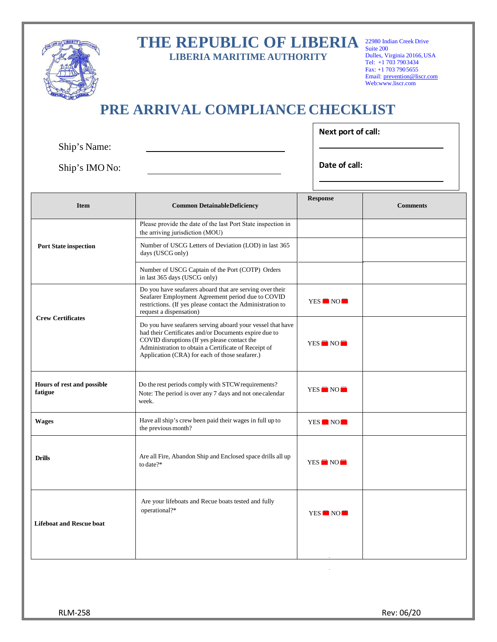|                                                    |  |  |  | THE REPUBLIC OF LIBERIA |
|----------------------------------------------------|--|--|--|-------------------------|
| <b>T TRIVIAL A LA CATALLER AT A THUT A RAILWAY</b> |  |  |  |                         |

**LIBERIA MARITIME AUTHORITY**

22980 Indian Creek Drive Suite 200 Dulles, Virginia 20166,USA Tel: +1 703 7903434 Fax: +1 703 790 5655 Email: [prevention@](mailto:safety@liscr.com)liscr.com We[b:www.liscr.com](http://www.liscr.com/)

# **PRE ARRIVAL COMPLIANCE CHECKLIST**

 $\Gamma$ 

|                | Next port of call: |
|----------------|--------------------|
| Ship's Name:   |                    |
| Ship's IMO No: | Date of call:      |

| <b>Item</b>                           | <b>Common DetainableDeficiency</b>                                                                                                                                                                                                                                            | <b>Response</b> | <b>Comments</b> |
|---------------------------------------|-------------------------------------------------------------------------------------------------------------------------------------------------------------------------------------------------------------------------------------------------------------------------------|-----------------|-----------------|
|                                       | Please provide the date of the last Port State inspection in<br>the arriving jurisdiction (MOU)                                                                                                                                                                               |                 |                 |
| <b>Port State inspection</b>          | Number of USCG Letters of Deviation (LOD) in last 365<br>days (USCG only)                                                                                                                                                                                                     |                 |                 |
|                                       | Number of USCG Captain of the Port (COTP) Orders<br>in last 365 days (USCG only)                                                                                                                                                                                              |                 |                 |
| <b>Crew Certificates</b>              | Do you have seafarers aboard that are serving over their<br>Seafarer Employment Agreement period due to COVID<br>restrictions. (If yes please contact the Administration to<br>request a dispensation)                                                                        | YES NO          |                 |
|                                       | Do you have seafarers serving aboard your vessel that have<br>had their Certificates and/or Documents expire due to<br>COVID disruptions (If yes please contact the<br>Administration to obtain a Certificate of Receipt of<br>Application (CRA) for each of those seafarer.) | YES NO          |                 |
| Hours of rest and possible<br>fatigue | Do the rest periods comply with STCW requirements?<br>Note: The period is over any 7 days and not one calendar<br>week.                                                                                                                                                       | YES NO          |                 |
| <b>Wages</b>                          | Have all ship's crew been paid their wages in full up to<br>the previous month?                                                                                                                                                                                               | YES NO          |                 |
| <b>Drills</b>                         | Are all Fire, Abandon Ship and Enclosed space drills all up<br>to date?*                                                                                                                                                                                                      | YES NO          |                 |
| <b>Lifeboat and Rescue boat</b>       | Are your lifeboats and Recue boats tested and fully<br>operational?*                                                                                                                                                                                                          | YES NO          |                 |
|                                       |                                                                                                                                                                                                                                                                               |                 |                 |

CHILDRE OF LIBERTY

RLM-258 Rev: 06/20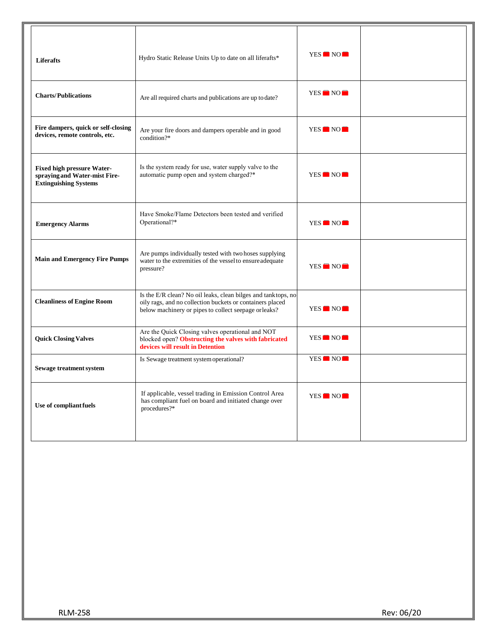| <b>Liferafts</b>                                                                                   | Hydro Static Release Units Up to date on all liferafts*                                                                                                                             | YES NO                           |  |
|----------------------------------------------------------------------------------------------------|-------------------------------------------------------------------------------------------------------------------------------------------------------------------------------------|----------------------------------|--|
| <b>Charts/Publications</b>                                                                         | Are all required charts and publications are up to date?                                                                                                                            | YES NO                           |  |
| Fire dampers, quick or self-closing<br>devices, remote controls, etc.                              | Are your fire doors and dampers operable and in good<br>condition?*                                                                                                                 | YES NO                           |  |
| <b>Fixed high pressure Water-</b><br>spraying and Water-mist Fire-<br><b>Extinguishing Systems</b> | Is the system ready for use, water supply valve to the<br>automatic pump open and system charged?*                                                                                  | YES NO                           |  |
| <b>Emergency Alarms</b>                                                                            | Have Smoke/Flame Detectors been tested and verified<br>Operational?*                                                                                                                | YES NO                           |  |
| <b>Main and Emergency Fire Pumps</b>                                                               | Are pumps individually tested with two hoses supplying<br>water to the extremities of the vessel to ensure adequate<br>pressure?                                                    | YES NO                           |  |
| <b>Cleanliness of Engine Room</b>                                                                  | Is the E/R clean? No oil leaks, clean bilges and tanktops, no<br>oily rags, and no collection buckets or containers placed<br>below machinery or pipes to collect seepage or leaks? | YES NO                           |  |
| <b>Quick Closing Valves</b>                                                                        | Are the Quick Closing valves operational and NOT<br>blocked open? Obstructing the valves with fabricated<br>devices will result in Detention                                        | YES NO                           |  |
| Sewage treatment system                                                                            | Is Sewage treatment system operational?                                                                                                                                             | YES <sup>N</sup> NO <sup>N</sup> |  |
| Use of compliant fuels                                                                             | If applicable, vessel trading in Emission Control Area<br>has compliant fuel on board and initiated change over<br>procedures?*                                                     | YES NO                           |  |
|                                                                                                    |                                                                                                                                                                                     |                                  |  |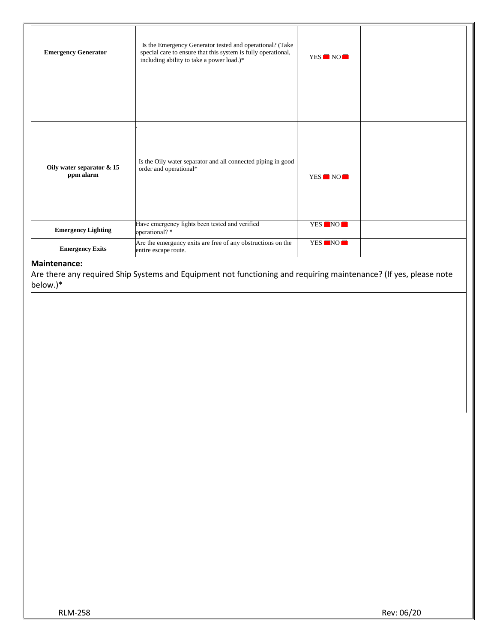| <b>Emergency Generator</b>             | Is the Emergency Generator tested and operational? (Take<br>special care to ensure that this system is fully operational,<br>including ability to take a power load.)* | YES NO |  |
|----------------------------------------|------------------------------------------------------------------------------------------------------------------------------------------------------------------------|--------|--|
| Oily water separator & 15<br>ppm alarm | Is the Oily water separator and all connected piping in good<br>order and operational*                                                                                 | YES NO |  |
| <b>Emergency Lighting</b>              | Have emergency lights been tested and verified<br>operational?*                                                                                                        | YES NO |  |
| <b>Emergency Exits</b>                 | Are the emergency exits are free of any obstructions on the<br>entire escape route.                                                                                    | YES NO |  |

#### **Maintenance:**

Are there any required Ship Systems and Equipment not functioning and requiring maintenance? (If yes, please note below.)\*

RLM-258 Rev: 06/20